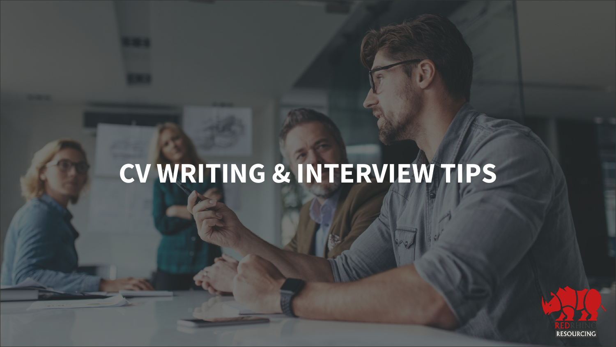# **CV WRITING & INTERVIEW TIPS**

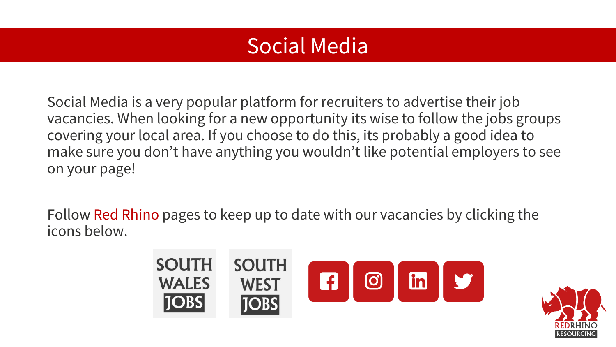### Social Media

Social Media is a very popular platform for recruiters to advertise their job vacancies. When looking for a new opportunity its wise to follow the jobs groups covering your local area. If you choose to do this, its probably a good idea to make sure you don't have anything you wouldn't like potential employers to see on your page!

Follow Red Rhino pages to keep up to date with our vacancies by clicking the icons below.



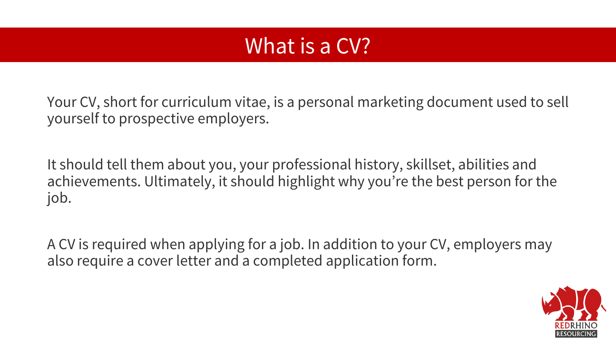#### What is a CV?

Your CV, short for curriculum vitae, is a personal marketing document used to sell yourself to prospective employers.

It should tell them about you, your professional history, skillset, abilities and achievements. Ultimately, it should highlight why you're the best person for the job.

A CV is required when applying for a job. In addition to your CV, employers may also require a cover letter and a completed application form.

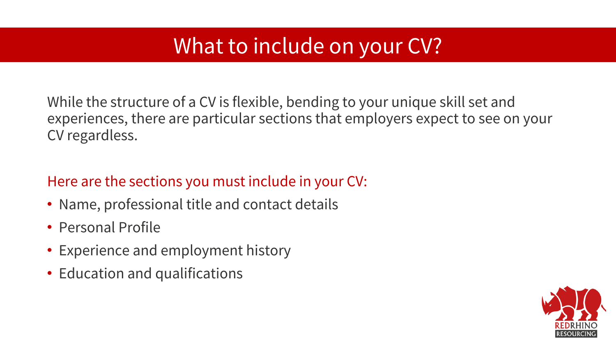### What to include on your CV?

While the structure of a CV is flexible, bending to your unique skill set and experiences, there are particular sections that employers expect to see on your CV regardless.

#### Here are the sections you must include in your CV:

- Name, professional title and contact details
- Personal Profile
- Experience and employment history
- Education and qualifications

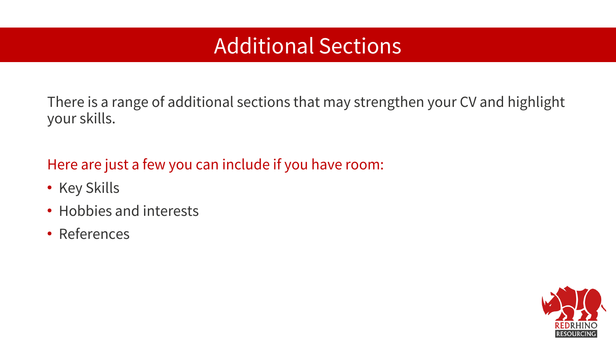### Additional Sections

There is a range of additional sections that may strengthen your CV and highlight your skills.

Here are just a few you can include if you have room:

- Key Skills
- Hobbies and interests
- References

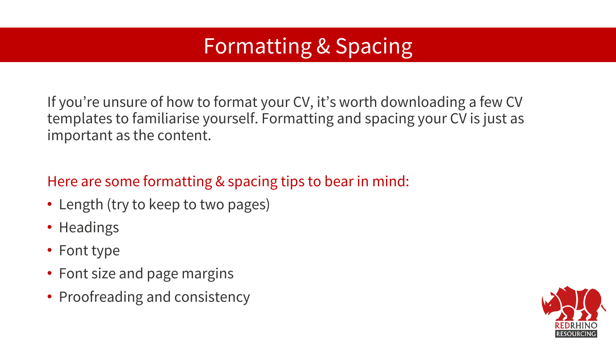## Formatting & Spacing

If you're unsure of how to format your CV, it's worth downloading a few CV templates to familiarise yourself. Formatting and spacing your CV is just as important as the content.

#### Here are some formatting & spacing tips to bear in mind:

- Length (try to keep to two pages)
- Headings
- Font type
- Font size and page margins
- Proofreading and consistency